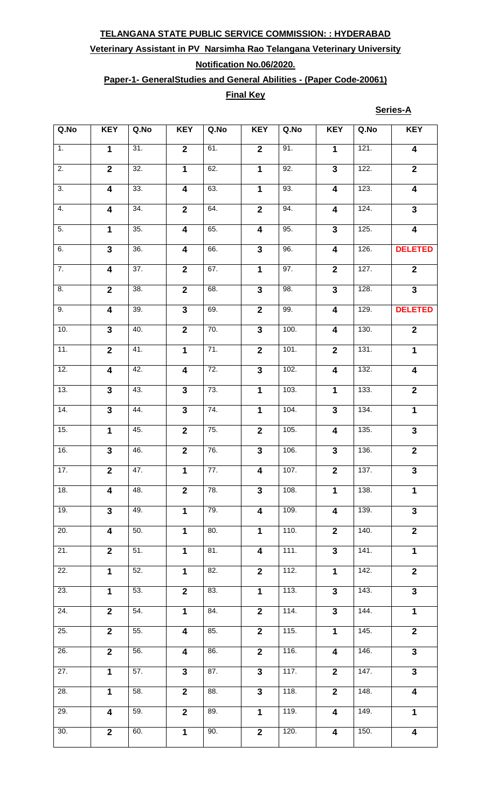## **Veterinary Assistant in PV Narsimha Rao Telangana Veterinary University**

## **Notification No.06/2020.**

## **Paper-1- GeneralStudies and General Abilities - (Paper Code-20061)**

### **Final Key**

**Series-A**

| Q.No              | <b>KEY</b>              | Q.No              | <b>KEY</b>              | Q.No              | <b>KEY</b>              | Q.No               | <b>KEY</b>              | Q.No               | <b>KEY</b>              |
|-------------------|-------------------------|-------------------|-------------------------|-------------------|-------------------------|--------------------|-------------------------|--------------------|-------------------------|
| $\overline{1}$ .  | 1                       | 31.               | $\overline{2}$          | 61.               | $\overline{\mathbf{2}}$ | 91.                | $\mathbf{1}$            | 121.               | $\overline{\mathbf{4}}$ |
| $\overline{2}$ .  | $\overline{2}$          | 32.               | $\overline{1}$          | 62.               | $\overline{1}$          | 92.                | $\overline{\mathbf{3}}$ | 122.               | $\overline{\mathbf{2}}$ |
| $\overline{3}$ .  | $\overline{\mathbf{4}}$ | 33.               | $\overline{\mathbf{4}}$ | 63.               | $\overline{1}$          | 93.                | $\overline{\mathbf{4}}$ | 123.               | $\overline{4}$          |
| 4.                | $\overline{4}$          | 34.               | $\overline{2}$          | 64.               | $\overline{2}$          | 94.                | $\overline{\mathbf{4}}$ | 124.               | $\overline{3}$          |
| $\overline{5}$ .  | $\mathbf{1}$            | 35.               | $\overline{\mathbf{4}}$ | 65.               | $\overline{\mathbf{4}}$ | 95.                | $\overline{\mathbf{3}}$ | 125.               | $\overline{\mathbf{4}}$ |
| 6.                | $\overline{3}$          | 36.               | $\overline{\mathbf{4}}$ | 66.               | $\overline{\mathbf{3}}$ | 96.                | $\overline{\mathbf{4}}$ | 126.               | <b>DELETED</b>          |
| $\overline{7}$ .  | $\overline{\mathbf{4}}$ | $\overline{37}$ . | $\overline{2}$          | 67.               | $\overline{1}$          | 97.                | $\overline{2}$          | 127.               | $\mathbf{2}$            |
| 8.                | $\overline{2}$          | 38.               | $\overline{2}$          | 68.               | $\mathbf{3}$            | 98.                | $\mathbf{3}$            | 128.               | $\overline{\mathbf{3}}$ |
| 9.                | $\overline{4}$          | $\overline{39}$ . | $\overline{\mathbf{3}}$ | 69.               | $\overline{2}$          | 99.                | $\overline{\mathbf{4}}$ | 129.               | <b>DELETED</b>          |
| 10.               | $\overline{\mathbf{3}}$ | 40.               | $\overline{2}$          | 70.               | $\overline{3}$          | 100.               | $\overline{\mathbf{4}}$ | 130.               | $\overline{\mathbf{2}}$ |
| 11.               | $\overline{2}$          | 41.               | $\overline{1}$          | $\overline{71}$ . | $\overline{2}$          | 101.               | $\overline{\mathbf{2}}$ | 131.               | $\mathbf{1}$            |
| 12.               | $\overline{\mathbf{4}}$ | 42.               | $\overline{4}$          | 72.               | $\overline{\mathbf{3}}$ | 102.               | $\overline{\mathbf{4}}$ | 132.               | $\overline{\mathbf{4}}$ |
| 13.               | $\mathbf{3}$            | 43.               | $\overline{\mathbf{3}}$ | 73.               | $\mathbf{1}$            | 103.               | $\mathbf{1}$            | 133.               | $\overline{2}$          |
| 14.               | $\overline{3}$          | 44.               | $\overline{3}$          | 74.               | $\overline{\mathbf{1}}$ | 104.               | $\overline{3}$          | 134.               | $\overline{1}$          |
| 15.               | $\overline{1}$          | 45.               | $\overline{2}$          | 75.               | $\overline{\mathbf{2}}$ | 105.               | $\overline{\mathbf{4}}$ | 135.               | $\overline{3}$          |
| 16.               | $\overline{\mathbf{3}}$ | 46.               | $\overline{2}$          | 76.               | $\overline{\mathbf{3}}$ | 106.               | $\overline{\mathbf{3}}$ | 136.               | $\overline{2}$          |
| 17.               | $\overline{2}$          | 47.               | $\overline{1}$          | 77.               | $\overline{\mathbf{4}}$ | 107.               | $\overline{2}$          | 137.               | $\overline{\mathbf{3}}$ |
| 18.               | $\overline{\mathbf{4}}$ | 48.               | $\overline{2}$          | 78.               | 3                       | 108.               | $\mathbf{1}$            | 138.               | 1                       |
| 19.               | $\overline{3}$          | 49.               | $\overline{1}$          | 79.               | $\overline{\mathbf{4}}$ | 109.               | $\overline{\mathbf{4}}$ | $\overline{139}$ . | $\overline{3}$          |
| 20.               | $\overline{\mathbf{4}}$ | 50.               | $\mathbf 1$             | 80.               | $\mathbf{1}$            | 110.               | $\overline{2}$          | 140.               | $\overline{2}$          |
| 21.               | $\overline{2}$          | $\overline{51}$ . | 1                       | 81.               | 4                       | 111.               | $\mathbf{3}$            | 141.               | $\mathbf 1$             |
| 22.               | $\mathbf{1}$            | 52.               | $\overline{1}$          | 82.               | $\overline{2}$          | 112.               | $\mathbf{1}$            | 142.               | $\overline{\mathbf{2}}$ |
| 23.               | $\mathbf{1}$            | 53.               | $\overline{2}$          | 83.               | $\mathbf{1}$            | 113.               | $\mathbf{3}$            | 143.               | $\overline{3}$          |
| 24.               | $\overline{2}$          | $\overline{54}$ . | $\overline{1}$          | 84.               | $\mathbf{2}$            | 114.               | $\mathbf{3}$            | 144.               | $\mathbf 1$             |
| 25.               | $\overline{2}$          | 55.               | $\boldsymbol{4}$        | 85.               | $\overline{2}$          | $\overline{115}$ . | $\mathbf 1$             | 145.               | $\overline{2}$          |
| 26.               | $\mathbf{2}$            | 56.               | $\overline{\mathbf{4}}$ | 86.               | $\overline{2}$          | $\overline{116}$ . | $\overline{\mathbf{4}}$ | 146.               | $\mathbf{3}$            |
| $\overline{27}$ . | $\overline{1}$          | 57.               | $\overline{3}$          | 87.               | $\overline{3}$          | 117.               | $\overline{2}$          | 147.               | $\overline{\mathbf{3}}$ |
| 28.               | $\mathbf{1}$            | 58.               | $\overline{2}$          | 88.               | $\overline{\mathbf{3}}$ | 118.               | $\overline{2}$          | 148.               | 4                       |
| 29.               | $\overline{\mathbf{4}}$ | 59.               | $\overline{2}$          | 89.               | $\overline{1}$          | 119.               | $\overline{\mathbf{4}}$ | 149.               | $\mathbf{1}$            |
| 30.               | $\overline{2}$          | 60.               | $\overline{1}$          | 90.               | $\overline{2}$          | 120.               | $\boldsymbol{4}$        | 150.               | 4                       |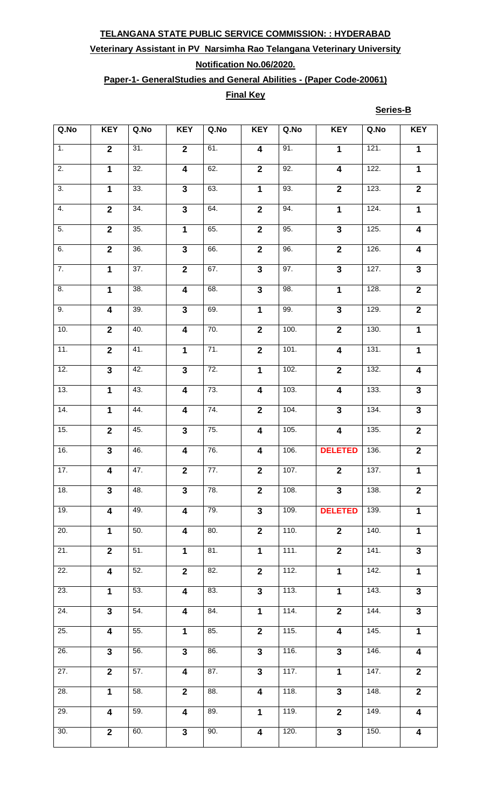# **Veterinary Assistant in PV Narsimha Rao Telangana Veterinary University**

## **Notification No.06/2020.**

## **Paper-1- GeneralStudies and General Abilities - (Paper Code-20061)**

#### **Final Key**

**Series-B**

| Q.No              | <b>KEY</b>              | Q.No              | <b>KEY</b>              | Q.No              | <b>KEY</b>              | Q.No | <b>KEY</b>              | Q.No | <b>KEY</b>              |
|-------------------|-------------------------|-------------------|-------------------------|-------------------|-------------------------|------|-------------------------|------|-------------------------|
| 1.                | $\overline{2}$          | $\overline{31}$ . | $\overline{2}$          | 61.               | $\overline{\mathbf{4}}$ | 91.  | $\mathbf{1}$            | 121. | $\mathbf 1$             |
| $\overline{2}$ .  | $\overline{1}$          | 32.               | $\overline{\mathbf{4}}$ | 62.               | $\mathbf{2}$            | 92.  | $\overline{\mathbf{4}}$ | 122. | $\mathbf 1$             |
| $\overline{3}$ .  | $\overline{1}$          | 33.               | $\overline{3}$          | 63.               | $\mathbf 1$             | 93.  | $\overline{2}$          | 123. | $\overline{2}$          |
| $\overline{4}$ .  | $\overline{2}$          | 34.               | $\overline{3}$          | 64.               | $\overline{2}$          | 94.  | $\overline{1}$          | 124. | $\overline{1}$          |
| 5.                | $\overline{2}$          | 35.               | $\overline{1}$          | 65.               | $\overline{\mathbf{2}}$ | 95.  | $\overline{3}$          | 125. | 4                       |
| 6.                | $\overline{2}$          | $\overline{36}$ . | $\overline{\mathbf{3}}$ | 66.               | $\mathbf{2}$            | 96.  | $\mathbf{2}$            | 126. | $\boldsymbol{4}$        |
| $\overline{7}$ .  | $\overline{1}$          | $\overline{37}$ . | $\overline{2}$          | 67.               | $\overline{3}$          | 97.  | $\overline{3}$          | 127. | $\mathbf{3}$            |
| 8.                | $\mathbf{1}$            | 38.               | $\overline{\mathbf{4}}$ | 68.               | $\mathbf{3}$            | 98.  | $\mathbf{1}$            | 128. | $\mathbf{2}$            |
| 9.                | $\overline{4}$          | 39.               | $\overline{3}$          | 69.               | $\overline{1}$          | 99.  | $\overline{3}$          | 129. | $\overline{2}$          |
| 10.               | $\overline{2}$          | 40.               | $\overline{\mathbf{4}}$ | 70.               | $\overline{\mathbf{2}}$ | 100. | $\overline{2}$          | 130. | $\mathbf{1}$            |
| 11.               | $\overline{2}$          | 41.               | $\mathbf 1$             | $\overline{71}$ . | $\overline{\mathbf{2}}$ | 101. | $\overline{\mathbf{4}}$ | 131. | $\mathbf 1$             |
| 12.               | $\overline{\mathbf{3}}$ | 42.               | $\overline{\mathbf{3}}$ | 72.               | $\mathbf{1}$            | 102. | $\overline{2}$          | 132. | 4                       |
| 13.               | $\mathbf{1}$            | 43.               | $\overline{\mathbf{4}}$ | 73.               | 4                       | 103. | $\overline{\mathbf{4}}$ | 133. | $\mathbf{3}$            |
| $\overline{14}$ . | $\overline{1}$          | 44.               | $\overline{4}$          | 74.               | $\overline{2}$          | 104. | $\overline{\mathbf{3}}$ | 134. | $\overline{3}$          |
| 15.               | $\overline{2}$          | 45.               | $\overline{\mathbf{3}}$ | 75.               | $\overline{\mathbf{4}}$ | 105. | $\overline{4}$          | 135. | $\overline{2}$          |
| 16.               | $\overline{\mathbf{3}}$ | 46.               | $\overline{4}$          | 76.               | $\overline{\mathbf{4}}$ | 106. | <b>DELETED</b>          | 136. | $\overline{2}$          |
| 17.               | $\overline{\mathbf{4}}$ | 47.               | $\overline{\mathbf{2}}$ | 77.               | $\mathbf{2}$            | 107. | $\overline{2}$          | 137. | $\overline{\mathbf{1}}$ |
| 18.               | $\mathbf{3}$            | 48.               | $\mathbf{3}$            | 78.               | $\mathbf{2}$            | 108. | $\mathbf{3}$            | 138. | $\mathbf{2}$            |
| 19.               | $\overline{\mathbf{4}}$ | 49.               | $\overline{\mathbf{4}}$ | 79.               | $\overline{\mathbf{3}}$ | 109. | <b>DELETED</b>          | 139. | $\mathbf{1}$            |
| $\overline{20}$ . | $\mathbf{1}$            | 50.               | $\overline{\mathbf{4}}$ | 80.               | $\overline{\mathbf{2}}$ | 110. | $\overline{2}$          | 140. | $\mathbf{1}$            |
| $\overline{21}$ . | $\overline{2}$          | $\overline{51}$ . | $\mathbf 1$             | 81.               | $\mathbf{1}$            | 111. | $\overline{2}$          | 141. | $\overline{3}$          |
| $\overline{22}$ . | $\overline{\mathbf{4}}$ | 52.               | $\overline{2}$          | 82.               | $\overline{\mathbf{2}}$ | 112. | $\overline{1}$          | 142. | $\overline{1}$          |
| 23.               | $\mathbf{1}$            | 53.               | $\overline{\mathbf{4}}$ | 83.               | $\overline{\mathbf{3}}$ | 113. | $\mathbf 1$             | 143. | $\mathbf{3}$            |
| 24.               | $\overline{\mathbf{3}}$ | 54.               | $\overline{\mathbf{4}}$ | 84.               | $\mathbf 1$             | 114. | $\overline{2}$          | 144. | $\mathbf{3}$            |
| 25.               | $\overline{\mathbf{4}}$ | 55.               | $\mathbf 1$             | 85.               | $\overline{2}$          | 115. | $\overline{4}$          | 145. | $\overline{1}$          |
| 26.               | $\overline{3}$          | 56.               | $\overline{3}$          | 86.               | $\mathbf{3}$            | 116. | $\overline{\mathbf{3}}$ | 146. | $\overline{\mathbf{4}}$ |
| $\overline{27}$ . | $\overline{2}$          | 57.               | $\overline{\mathbf{4}}$ | 87.               | $\overline{3}$          | 117. | $\mathbf{1}$            | 147. | $\overline{2}$          |
| $\overline{28}$ . | $\overline{1}$          | 58.               | $\overline{2}$          | 88.               | $\overline{\mathbf{4}}$ | 118. | $\overline{3}$          | 148. | $\overline{2}$          |
| 29.               | $\overline{\mathbf{4}}$ | $\overline{59}$ . | $\overline{\mathbf{4}}$ | 89.               | $\overline{1}$          | 119. | $\overline{\mathbf{2}}$ | 149. | $\overline{\mathbf{4}}$ |
| 30.               | $\overline{2}$          | 60.               | $\overline{\mathbf{3}}$ | 90.               | $\overline{\mathbf{4}}$ | 120. | $\overline{\mathbf{3}}$ | 150. | 4                       |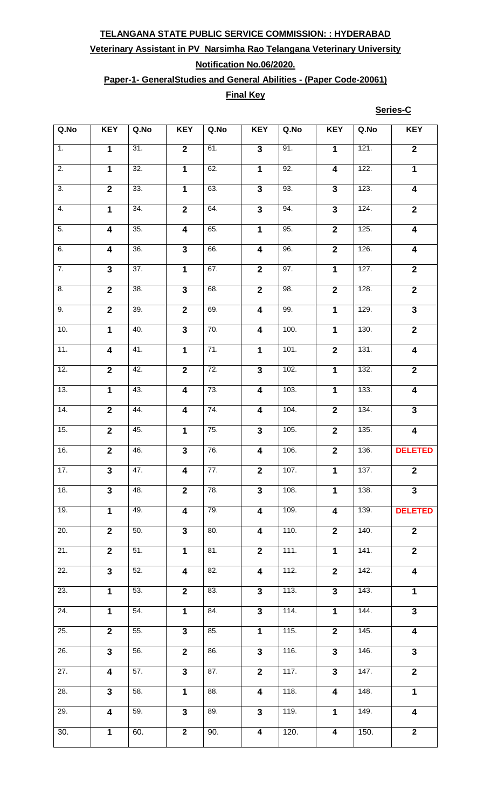## **Veterinary Assistant in PV Narsimha Rao Telangana Veterinary University**

## **Notification No.06/2020.**

## **Paper-1- GeneralStudies and General Abilities - (Paper Code-20061)**

### **Final Key**

**Series-C**

| Q.No              | <b>KEY</b>              | Q.No              | <b>KEY</b>              | Q.No              | <b>KEY</b>              | Q.No              | <b>KEY</b>              | Q.No | <b>KEY</b>              |
|-------------------|-------------------------|-------------------|-------------------------|-------------------|-------------------------|-------------------|-------------------------|------|-------------------------|
| 1.                | $\mathbf{1}$            | $\overline{31}$ . | $\overline{2}$          | 61.               | $\mathbf{3}$            | $\overline{91}$ . | $\mathbf{1}$            | 121. | $\overline{\mathbf{2}}$ |
| $\overline{2}$ .  | $\overline{1}$          | 32.               | $\overline{1}$          | 62.               | $\mathbf{1}$            | 92.               | $\overline{\mathbf{4}}$ | 122. | $\mathbf 1$             |
| $\overline{3}$ .  | $\overline{2}$          | 33.               | $\overline{1}$          | 63.               | $\overline{\mathbf{3}}$ | 93.               | $\overline{\mathbf{3}}$ | 123. | $\overline{\mathbf{4}}$ |
| $\overline{4}$ .  | $\overline{1}$          | 34.               | $\overline{2}$          | 64.               | $\overline{\mathbf{3}}$ | 94.               | $\overline{\mathbf{3}}$ | 124. | $\overline{2}$          |
| 5.                | $\overline{4}$          | 35.               | $\overline{4}$          | 65.               | $\overline{\mathbf{1}}$ | 95.               | $\overline{2}$          | 125. | $\overline{4}$          |
| 6.                | $\overline{\mathbf{4}}$ | $\overline{36}$ . | $\overline{\mathbf{3}}$ | 66.               | $\overline{\mathbf{4}}$ | 96.               | $\mathbf{2}$            | 126. | $\overline{\mathbf{4}}$ |
| $\overline{7}$ .  | $\overline{\mathbf{3}}$ | 37.               | $\overline{1}$          | 67.               | $\overline{2}$          | 97.               | $\mathbf 1$             | 127. | $\overline{2}$          |
| 8.                | $\overline{2}$          | $\overline{38}$ . | $\overline{\mathbf{3}}$ | 68.               | $\mathbf{2}$            | 98.               | $\overline{\mathbf{2}}$ | 128. | $\mathbf{2}$            |
| 9.                | $\overline{2}$          | 39.               | $\overline{2}$          | 69.               | $\overline{4}$          | 99.               | $\overline{1}$          | 129. | $\overline{\mathbf{3}}$ |
| 10.               | $\overline{1}$          | 40.               | $\overline{3}$          | 70.               | $\overline{\mathbf{4}}$ | 100.              | $\overline{1}$          | 130. | $\overline{2}$          |
| 11.               | $\overline{\mathbf{4}}$ | 41.               | $\overline{1}$          | 71.               | $\mathbf{1}$            | 101.              | $\overline{\mathbf{2}}$ | 131. | $\overline{\mathbf{4}}$ |
| 12.               | $\overline{2}$          | 42.               | $\overline{2}$          | 72.               | $\overline{\mathbf{3}}$ | 102.              | $\overline{1}$          | 132. | $\overline{\mathbf{2}}$ |
| 13.               | $\mathbf 1$             | 43.               | $\overline{\mathbf{4}}$ | 73.               | $\overline{\mathbf{4}}$ | 103.              | $\mathbf 1$             | 133. | $\overline{\mathbf{4}}$ |
| 14.               | $\overline{2}$          | 44.               | $\overline{4}$          | $\overline{74}$ . | $\overline{\mathbf{4}}$ | 104.              | $\overline{2}$          | 134. | $\overline{\mathbf{3}}$ |
| 15.               | $\overline{2}$          | 45.               | $\overline{1}$          | 75.               | $\overline{\mathbf{3}}$ | 105.              | $\overline{2}$          | 135. | $\overline{\mathbf{4}}$ |
| 16.               | $\overline{2}$          | 46.               | $\overline{3}$          | 76.               | $\overline{\mathbf{4}}$ | 106.              | $\overline{2}$          | 136. | <b>DELETED</b>          |
| 17.               | $\overline{\mathbf{3}}$ | 47.               | $\overline{\mathbf{4}}$ | 77.               | $\overline{2}$          | 107.              | $\overline{1}$          | 137. | $\mathbf{2}$            |
| 18.               | $\mathbf{3}$            | 48.               | $\overline{2}$          | 78.               | $\mathbf{3}$            | 108.              | 1                       | 138. | $\mathbf{3}$            |
| 19.               | $\mathbf{1}$            | 49.               | $\overline{4}$          | 79.               | 4                       | 109.              | $\overline{\mathbf{4}}$ | 139. | <b>DELETED</b>          |
| 20.               | $\overline{2}$          | 50.               | $\overline{\mathbf{3}}$ | 80.               | $\overline{\mathbf{4}}$ | 110.              | $\overline{2}$          | 140. | $\mathbf{2}$            |
| 21.               | $\overline{2}$          | 51.               | 1                       | 81.               | $\overline{\mathbf{2}}$ | 111.              | $\mathbf{1}$            | 141. | $\overline{\mathbf{2}}$ |
| $\overline{22}$ . | $\overline{\mathbf{3}}$ | 52.               | $\overline{\mathbf{4}}$ | 82.               | 4                       | 112.              | $\overline{2}$          | 142. | $\overline{4}$          |
| 23.               | $\mathbf{1}$            | 53.               | $\overline{2}$          | 83.               | $\mathbf{3}$            | 113.              | $\overline{\mathbf{3}}$ | 143. | $\mathbf 1$             |
| 24.               | $\overline{1}$          | 54.               | $\overline{1}$          | $\overline{84}$ . | $\mathbf{3}$            | 114.              | $\mathbf{1}$            | 144. | $\mathbf{3}$            |
| 25.               | $\overline{2}$          | 55.               | $\overline{3}$          | 85.               | $\mathbf{1}$            | 115.              | $\overline{2}$          | 145. | $\overline{\mathbf{4}}$ |
| 26.               | $\overline{\mathbf{3}}$ | 56.               | $\overline{2}$          | 86.               | $\mathbf{3}$            | 116.              | $\overline{\mathbf{3}}$ | 146. | $\overline{\mathbf{3}}$ |
| $\overline{27}$ . | $\overline{\mathbf{4}}$ | 57.               | $\overline{\mathbf{3}}$ | 87.               | $\overline{2}$          | 117.              | $\overline{\mathbf{3}}$ | 147. | $\mathbf{2}$            |
| 28.               | $\overline{3}$          | 58.               | $\overline{1}$          | 88.               | $\overline{\mathbf{4}}$ | 118.              | $\overline{\mathbf{4}}$ | 148. | $\overline{\mathbf{1}}$ |
| 29.               | $\overline{4}$          | 59.               | $\overline{\mathbf{3}}$ | 89.               | $\overline{\mathbf{3}}$ | 119.              | $\overline{1}$          | 149. | $\overline{\mathbf{4}}$ |
| $\overline{30}$ . | $\mathbf 1$             | $\overline{6}0.$  | $\overline{2}$          | 90.               | $\overline{\mathbf{4}}$ | 120.              | $\overline{\mathbf{4}}$ | 150. | $\overline{2}$          |
|                   |                         |                   |                         |                   |                         |                   |                         |      |                         |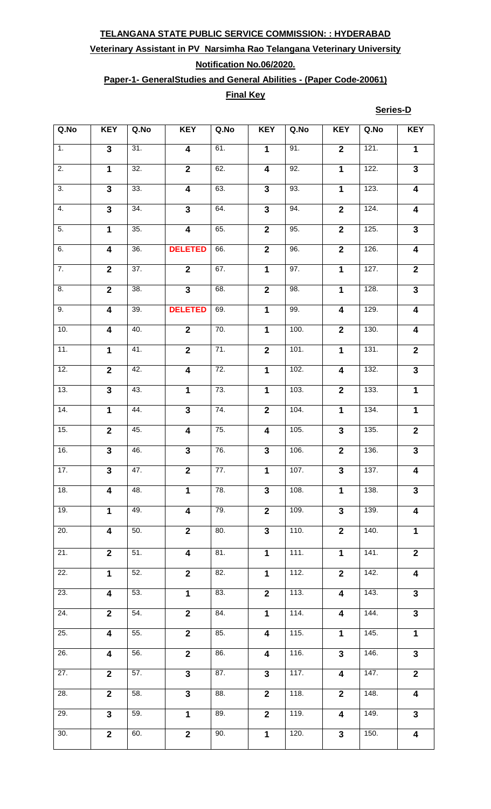# **Veterinary Assistant in PV Narsimha Rao Telangana Veterinary University**

## **Notification No.06/2020.**

## **Paper-1- GeneralStudies and General Abilities - (Paper Code-20061)**

### **Final Key**

**Series-D**

| Q.No              | <b>KEY</b>              | Q.No              | <b>KEY</b>              | Q.No              | <b>KEY</b>              | Q.No | <b>KEY</b>              | Q.No | <b>KEY</b>              |
|-------------------|-------------------------|-------------------|-------------------------|-------------------|-------------------------|------|-------------------------|------|-------------------------|
| $\overline{1}$ .  | $\overline{\mathbf{3}}$ | 31.               | $\overline{\mathbf{4}}$ | 61.               | $\mathbf{1}$            | 91.  | $\overline{\mathbf{2}}$ | 121. | $\mathbf 1$             |
| $\overline{2}$ .  | $\mathbf{1}$            | 32.               | $\overline{2}$          | 62.               | $\overline{\mathbf{4}}$ | 92.  | $\mathbf 1$             | 122. | $\mathbf{3}$            |
| $\overline{3}$ .  | $\overline{\mathbf{3}}$ | 33.               | $\overline{4}$          | 63.               | $\overline{\mathbf{3}}$ | 93.  | $\overline{1}$          | 123. | $\boldsymbol{4}$        |
| $\overline{4}$ .  | $\overline{3}$          | 34.               | $\overline{3}$          | 64.               | $\overline{\mathbf{3}}$ | 94.  | $\overline{2}$          | 124. | $\overline{4}$          |
| 5.                | $\overline{1}$          | 35.               | $\overline{4}$          | 65.               | $\overline{2}$          | 95.  | $\overline{2}$          | 125. | $\overline{\mathbf{3}}$ |
| 6.                | $\overline{\mathbf{4}}$ | 36.               | <b>DELETED</b>          | 66.               | $\overline{2}$          | 96.  | $\overline{\mathbf{2}}$ | 126. | $\boldsymbol{4}$        |
| $\overline{7}$ .  | $\overline{2}$          | 37.               | $\overline{2}$          | 67.               | $\mathbf{1}$            | 97.  | $\mathbf 1$             | 127. | $\overline{2}$          |
| 8.                | $\overline{2}$          | 38.               | $\overline{\mathbf{3}}$ | 68.               | $\overline{2}$          | 98.  | $\mathbf{1}$            | 128. | $\overline{\mathbf{3}}$ |
| 9.                | $\overline{4}$          | 39.               | <b>DELETED</b>          | 69.               | $\overline{1}$          | 99.  | $\overline{4}$          | 129. | $\overline{\mathbf{4}}$ |
| 10.               | $\overline{\mathbf{4}}$ | 40.               | $\overline{2}$          | 70.               | $\overline{1}$          | 100. | $\overline{2}$          | 130. | $\overline{\mathbf{4}}$ |
| 11.               | $\overline{1}$          | 41.               | $\overline{2}$          | 71.               | $\overline{2}$          | 101. | $\overline{1}$          | 131. | $\overline{2}$          |
| 12.               | $\overline{2}$          | 42.               | $\overline{\mathbf{4}}$ | 72.               | $\mathbf 1$             | 102. | $\overline{\mathbf{4}}$ | 132. | $\mathbf{3}$            |
| 13.               | $\overline{\mathbf{3}}$ | 43.               | $\overline{1}$          | 73.               | $\overline{1}$          | 103. | $\overline{2}$          | 133. | $\mathbf 1$             |
| 14.               | $\overline{1}$          | 44.               | $\overline{\mathbf{3}}$ | 74.               | $\overline{\mathbf{2}}$ | 104. | $\overline{1}$          | 134. | $\overline{1}$          |
| 15.               | $\overline{2}$          | 45.               | $\overline{\mathbf{4}}$ | $\overline{75}$ . | $\overline{4}$          | 105. | $\overline{3}$          | 135. | $\overline{\mathbf{2}}$ |
| 16.               | $\overline{3}$          | $\overline{46}$ . | $\overline{\mathbf{3}}$ | 76.               | $\overline{\mathbf{3}}$ | 106. | $\overline{\mathbf{2}}$ | 136. | $\overline{\mathbf{3}}$ |
| $\overline{17}$ . | $\overline{3}$          | 47.               | $\overline{\mathbf{2}}$ | 77.               | $\overline{\mathbf{1}}$ | 107. | $\overline{\mathbf{3}}$ | 137. | $\overline{\mathbf{4}}$ |
| 18.               | 4                       | 48.               | $\mathbf{1}$            | 78.               | $\mathbf{3}$            | 108. | $\mathbf 1$             | 138. | $\mathbf{3}$            |
| 19.               | $\mathbf{1}$            | 49.               | $\overline{\mathbf{4}}$ | 79.               | $\overline{2}$          | 109. | $\overline{3}$          | 139. | $\overline{\mathbf{4}}$ |
| 20.               | $\overline{\mathbf{4}}$ | 50.               | $\overline{2}$          | $\overline{80}$ . | $\mathbf{3}$            | 110. | $\overline{\mathbf{2}}$ | 140. | $\mathbf 1$             |
| $\overline{21}$ . | $\mathbf{2}$            | $\overline{51}$ . | $\overline{\mathbf{4}}$ | $\overline{81}$ . | $\mathbf 1$             | 111. | 1                       | 141. | $\mathbf{2}$            |
| $\overline{22}$ . | $\mathbf{1}$            | 52.               | $\overline{2}$          | 82.               | $\overline{1}$          | 112. | $\overline{2}$          | 142. | $\overline{\mathbf{4}}$ |
| $\overline{23}$ . | $\overline{\mathbf{4}}$ | 53.               | $\overline{1}$          | 83.               | $\overline{2}$          | 113. | $\overline{\mathbf{4}}$ | 143. | $\mathbf{3}$            |
| $\overline{24}$ . | $\overline{2}$          | $\overline{54}$ . | $\overline{2}$          | 84.               | $\overline{1}$          | 114. | 4                       | 144. | $\overline{3}$          |
| 25.               | $\overline{\mathbf{4}}$ | 55.               | $\overline{2}$          | 85.               | $\overline{4}$          | 115. | $\overline{1}$          | 145. | $\mathbf 1$             |
| 26.               | $\overline{\mathbf{4}}$ | 56.               | $\overline{2}$          | 86.               | 4                       | 116. | $\mathbf{3}$            | 146. | $\mathbf{3}$            |
| $\overline{27}$ . | $\overline{2}$          | $\overline{57}$ . | $\overline{3}$          | $\overline{87}$ . | $\mathbf{3}$            | 117. | $\overline{\mathbf{4}}$ | 147. | $\overline{2}$          |
| 28.               | $\overline{2}$          | 58.               | $\overline{\mathbf{3}}$ | $\overline{88}$ . | $\overline{2}$          | 118. | $\overline{2}$          | 148. | $\overline{\mathbf{4}}$ |
| 29.               | $\overline{\mathbf{3}}$ | 59.               | $\overline{1}$          | $\overline{89}$ . | $\overline{2}$          | 119. | $\overline{\mathbf{4}}$ | 149. | $\overline{3}$          |
| 30.               | $\overline{2}$          | $\overline{60}$ . | $\overline{2}$          | $\overline{90}$ . | $\overline{\mathbf{1}}$ | 120. | $\overline{\mathbf{3}}$ | 150. | $\overline{\mathbf{4}}$ |